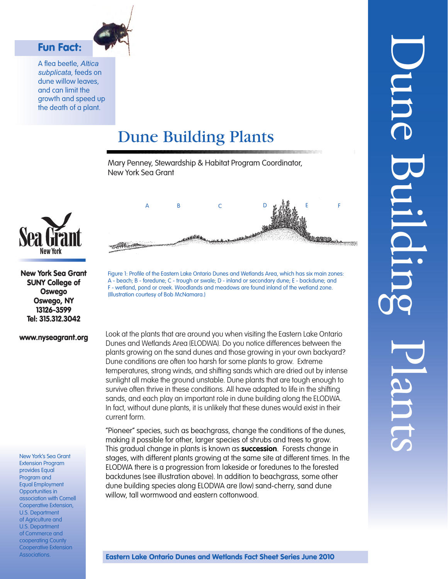

A flea beetle, *Altica subplicata*, feeds on dune willow leaves, and can limit the growth and speed up the death of a plant.

Fun Fact:

# Dune Building Plants

Mary Penney, Stewardship & Habitat Program Coordinator, New York Sea Grant



New York Sea Grant SUNY College of Oswego Oswego, NY 13126-3599 Tel: 315.312.3042

#### www.nyseagrant.org

New York's Sea Grant Extension Program provides Equal Program and Equal Employment Opportunities in association with Cornell Cooperative Extension, U.S. Department of Agriculture and U.S. Department of Commerce and cooperating County Cooperative Extension Associations.



Figure 1: Profile of the Eastern Lake Ontario Dunes and Wetlands Area, which has six main zones: A - beach; B - foredune; C - trough or swale; D - inland or secondary dune; E - backdune; and F - wetland, pond or creek. Woodlands and meadows are found inland of the wetland zone. (Illustration courtesy of Bob McNamara.)

Look at the plants that are around you when visiting the Eastern Lake Ontario Dunes and Wetlands Area (ELODWA). Do you notice differences between the plants growing on the sand dunes and those growing in your own backyard? Dune conditions are often too harsh for some plants to grow. Extreme temperatures, strong winds, and shifting sands which are dried out by intense sunlight all make the ground unstable. Dune plants that are tough enough to survive often thrive in these conditions. All have adapted to life in the shifting sands, and each play an important role in dune building along the ELODWA. In fact, without dune plants, it is unlikely that these dunes would exist in their current form.

"Pioneer" species, such as beachgrass, change the conditions of the dunes, making it possible for other, larger species of shrubs and trees to grow. This gradual change in plants is known as **succession**. Forests change in stages, with different plants growing at the same site at different times. In the ELODWA there is a progression from lakeside or foredunes to the forested backdunes (see illustration above). In addition to beachgrass, some other dune building species along ELODWA are (low) sand-cherry, sand dune willow, tall wormwood and eastern cottonwood.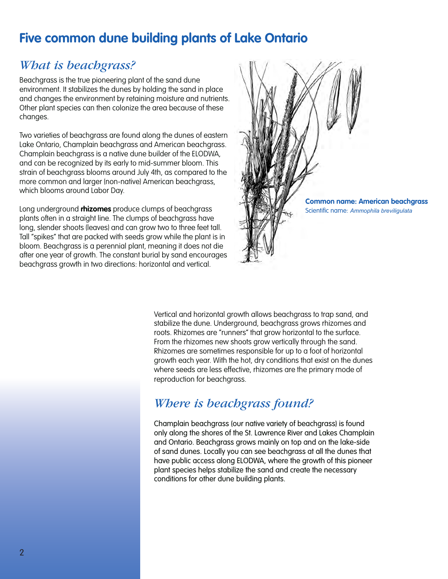# **Five common dune building plants of Lake Ontario**

### *What is beachgrass?*

Beachgrass is the true pioneering plant of the sand dune environment. It stabilizes the dunes by holding the sand in place and changes the environment by retaining moisture and nutrients. Other plant species can then colonize the area because of these changes.

Two varieties of beachgrass are found along the dunes of eastern Lake Ontario, Champlain beachgrass and American beachgrass. Champlain beachgrass is a native dune builder of the ELODWA, and can be recognized by its early to mid-summer bloom. This strain of beachgrass blooms around July 4th, as compared to the more common and larger (non-native) American beachgrass, which blooms around Labor Day.

Long underground **rhizomes** produce clumps of beachgrass plants often in a straight line. The clumps of beachgrass have long, slender shoots (leaves) and can grow two to three feet tall. Tall "spikes" that are packed with seeds grow while the plant is in bloom. Beachgrass is a perennial plant, meaning it does not die after one year of growth. The constant burial by sand encourages beachgrass growth in two directions: horizontal and vertical.



Vertical and horizontal growth allows beachgrass to trap sand, and stabilize the dune. Underground, beachgrass grows rhizomes and roots. Rhizomes are "runners" that grow horizontal to the surface. From the rhizomes new shoots grow vertically through the sand. Rhizomes are sometimes responsible for up to a foot of horizontal growth each year. With the hot, dry conditions that exist on the dunes where seeds are less effective, rhizomes are the primary mode of reproduction for beachgrass.

### *Where is beachgrass found?*

Champlain beachgrass (our native variety of beachgrass) is found only along the shores of the St. Lawrence River and Lakes Champlain and Ontario. Beachgrass grows mainly on top and on the lake-side of sand dunes. Locally you can see beachgrass at all the dunes that have public access along ELODWA, where the growth of this pioneer plant species helps stabilize the sand and create the necessary conditions for other dune building plants.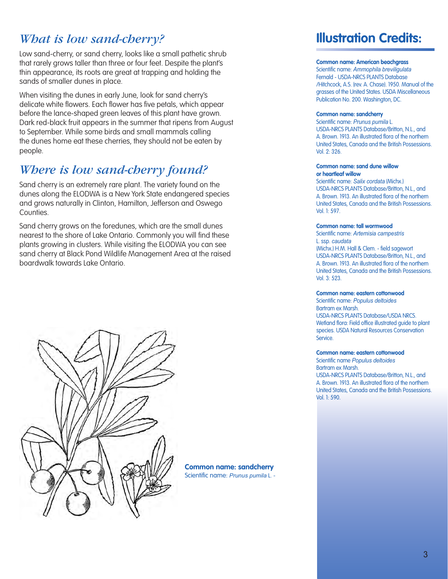### *What is low sand-cherry?*

Low sand-cherry, or sand cherry, looks like a small pathetic shrub that rarely grows taller than three or four feet. Despite the plant's thin appearance, its roots are great at trapping and holding the sands of smaller dunes in place.

When visiting the dunes in early June, look for sand cherry's delicate white flowers. Each flower has five petals, which appear before the lance-shaped green leaves of this plant have grown. Dark red-black fruit appears in the summer that ripens from August to September. While some birds and small mammals calling the dunes home eat these cherries, they should not be eaten by people.

# *Where is low sand-cherry found?*

Sand cherry is an extremely rare plant. The variety found on the dunes along the ELODWA is a New York State endangered species and grows naturally in Clinton, Hamilton, Jefferson and Oswego **Counties** 

Sand cherry grows on the foredunes, which are the small dunes nearest to the shore of Lake Ontario. Commonly you will find these plants growing in clusters. While visiting the ELODWA you can see sand cherry at Black Pond Wildlife Management Area at the raised boardwalk towards Lake Ontario.



**Common name: sandcherry** Scientific name: *Prunus pumila* L. -

# **Illustration Credits:**

#### **Common name: American beachgrass**

Scientific name: *Ammophila breviligulata* Fernald - USDA-NRCS PLANTS Database /Hitchcock, A.S. (rev. A. Chase). 1950. Manual of the grasses of the United States. USDA Miscellaneous Publication No. 200. Washington, DC.

#### **Common name: sandcherry**

Scientific name: *Prunus pumila* L. USDA-NRCS PLANTS Database/Britton, N.L., and A. Brown. 1913. An illustrated flora of the northern United States, Canada and the British Possessions. Vol. 2: 326.

#### **Common name: sand dune willow or heartleaf willow**

Scientific name: *Salix cordata* (Michx.) USDA-NRCS PLANTS Database/Britton, N.L., and A. Brown. 1913. An illustrated flora of the northern United States, Canada and the British Possessions. Vol. 1: 597.

#### **Common name: tall wormwood**

Scientific name: *Artemisia campestris* L. ssp. *caudata* (Michx.) H.M. Hall & Clem. - field sagewort USDA-NRCS PLANTS Database/Britton, N.L., and A. Brown. 1913. An illustrated flora of the northern United States, Canada and the British Possessions. Vol. 3: 523.

#### **Common name: eastern cottonwood**

Scientific name: *Populus deltoides* Bartram ex Marsh. USDA-NRCS PLANTS Database/USDA NRCS. Wetland flora: Field office illustrated guide to plant species. USDA Natural Resources Conservation Service.

#### **Common name: eastern cottonwood**

Scientific name *Populus deltoides* Bartram ex Marsh. USDA-NRCS PLANTS Database/Britton, N.L., and A. Brown. 1913. An illustrated flora of the northern United States, Canada and the British Possessions. Vol. 1: 590.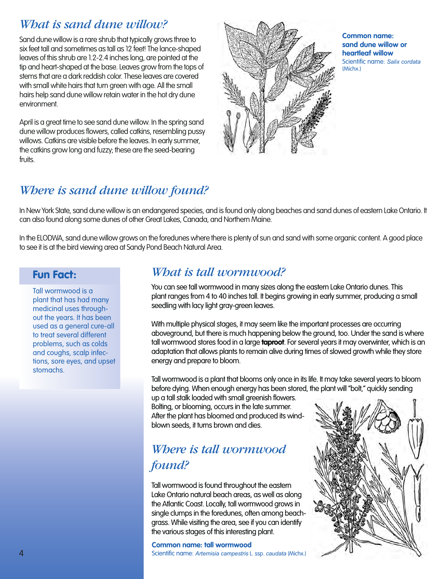## *What is sand dune willow?*

Sand dune willow is a rare shrub that typically grows three to six feet tall and sometimes as tall as 12 feet! The lance-shaped leaves of this shrub are 1.2-2.4 inches long, are pointed at the tip and heart-shaped at the base. Leaves grow from the tops of stems that are a dark reddish color. These leaves are covered with small white hairs that turn areen with age. All the small hairs help sand dune willow retain water in the hot dry dune environment.

April is a great time to see sand dune willow. In the spring sand dune willow produces flowers, called catkins, resembling pussy willows. Catkins are visible before the leaves. In early summer, the catkins grow long and fuzzy; these are the seed-bearing fruits.



**Common name: sand dune willow or heartleaf willow**  Scientific name: *Salix cordata* (Michx.)

### *Where is sand dune willow found?*

In New York State, sand dune willow is an endangered species, and is found only along beaches and sand dunes of eastern Lake Ontario. It can also found along some dunes of other Great Lakes, Canada, and Northern Maine.

In the ELODWA, sand dune willow grows on the foredunes where there is plenty of sun and sand with some organic content. A good place to see it is at the bird viewing area at Sandy Pond Beach Natural Area.

#### Fun Fact:

Tall wormwood is a plant that has had many medicinal uses throughout the years. It has been used as a general cure-all to treat several different problems, such as colds and coughs, scalp infections, sore eyes, and upset stomachs.

### *What is tall wormwood?*

You can see tall wormwood in many sizes along the eastern Lake Ontario dunes. This plant ranges from 4 to 40 inches tall. It begins growing in early summer, producing a small seedling with lacy light gray-green leaves.

With multiple physical stages, it may seem like the important processes are occurring aboveground, but there is much happening below the ground, too. Under the sand is where tall wormwood stores food in a large **taproot**. For several years it may overwinter, which is an adaptation that allows plants to remain alive during times of slowed growth while they store energy and prepare to bloom.

Tall wormwood is a plant that blooms only once in its life. It may take several years to bloom before dying. When enough energy has been stored, the plant will "bolt," quickly sending

up a tall stalk loaded with small greenish flowers. Bolting, or blooming, occurs in the late summer. After the plant has bloomed and produced its windblown seeds, it turns brown and dies.

# *Where is tall wormwood found?*

Tall wormwood is found throughout the eastern Lake Ontario natural beach areas, as well as along the Atlantic Coast. Locally, tall wormwood grows in single clumps in the foredunes, often among beachgrass. While visiting the area, see if you can identify the various stages of this interesting plant.

#### **Common name: tall wormwood**

Scientific name: *Artemisia campestris* L. ssp. *caudata* (Michx.)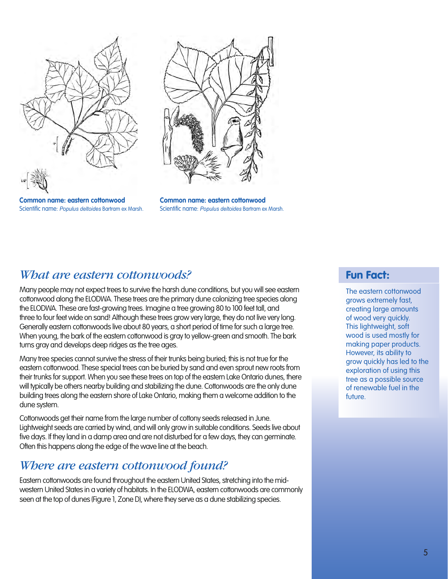

**Common name: eastern cottonwood** Scientific name: *Populus deltoides* Bartram ex Marsh.



**Common name: eastern cottonwood** Scientific name: *Populus deltoides* Bartram ex Marsh.

#### *What are eastern cottonwoods?*

Many people may not expect trees to survive the harsh dune conditions, but you will see eastern cottonwood along the ELODWA. These trees are the primary dune colonizing tree species along the ELODWA. These are fast-growing trees. Imagine a tree growing 80 to 100 feet tall, and three to four feet wide on sand! Although these trees grow very large, they do not live very long. Generally eastern cottonwoods live about 80 years, a short period of time for such a large tree. When young, the bark of the eastern cottonwood is gray to yellow-green and smooth. The bark turns gray and develops deep ridges as the tree ages.

Many tree species cannot survive the stress of their trunks being buried; this is not true for the eastern cottonwood. These special trees can be buried by sand and even sprout new roots from their trunks for support. When you see these trees on top of the eastern Lake Ontario dunes, there will typically be others nearby building and stabilizing the dune. Cottonwoods are the only dune building trees along the eastern shore of Lake Ontario, making them a welcome addition to the dune system.

Cottonwoods get their name from the large number of cottony seeds released in June. Lightweight seeds are carried by wind, and will only grow in suitable conditions. Seeds live about five days. If they land in a damp area and are not disturbed for a few days, they can germinate. Often this happens along the edge of the wave line at the beach.

#### *Where are eastern cottonwood found?*

Eastern cottonwoods are found throughout the eastern United States, stretching into the midwestern United States in a variety of habitats. In the ELODWA, eastern cottonwoods are commonly seen at the top of dunes (Figure 1, Zone D), where they serve as a dune stabilizing species.

#### Fun Fact:

The eastern cottonwood grows extremely fast, creating large amounts of wood very quickly. This lightweight, soft wood is used mostly for making paper products. However, its ability to grow quickly has led to the exploration of using this tree as a possible source of renewable fuel in the future.